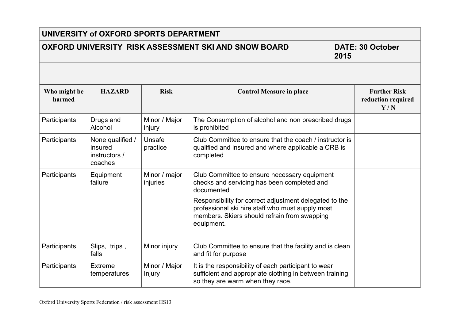| UNIVERSITY of OXFORD SPORTS DEPARTMENT                                                  |                                                         |                           |                                                                                                                                                                          |  |                                                  |  |
|-----------------------------------------------------------------------------------------|---------------------------------------------------------|---------------------------|--------------------------------------------------------------------------------------------------------------------------------------------------------------------------|--|--------------------------------------------------|--|
| OXFORD UNIVERSITY RISK ASSESSMENT SKI AND SNOW BOARD<br><b>DATE: 30 October</b><br>2015 |                                                         |                           |                                                                                                                                                                          |  |                                                  |  |
|                                                                                         |                                                         |                           |                                                                                                                                                                          |  |                                                  |  |
| Who might be<br>harmed                                                                  | <b>HAZARD</b>                                           | <b>Risk</b>               | <b>Control Measure in place</b>                                                                                                                                          |  | <b>Further Risk</b><br>reduction required<br>Y/N |  |
| Participants                                                                            | Drugs and<br>Alcohol                                    | Minor / Major<br>injury   | The Consumption of alcohol and non prescribed drugs<br>is prohibited                                                                                                     |  |                                                  |  |
| Participants                                                                            | None qualified /<br>insured<br>instructors /<br>coaches | Unsafe<br>practice        | Club Committee to ensure that the coach / instructor is<br>qualified and insured and where applicable a CRB is<br>completed                                              |  |                                                  |  |
| Participants                                                                            | Equipment<br>failure                                    | Minor / major<br>injuries | Club Committee to ensure necessary equipment<br>checks and servicing has been completed and<br>documented                                                                |  |                                                  |  |
|                                                                                         |                                                         |                           | Responsibility for correct adjustment delegated to the<br>professional ski hire staff who must supply most<br>members. Skiers should refrain from swapping<br>equipment. |  |                                                  |  |
| Participants                                                                            | Slips, trips,<br>falls                                  | Minor injury              | Club Committee to ensure that the facility and is clean<br>and fit for purpose                                                                                           |  |                                                  |  |
| Participants                                                                            | Extreme<br>temperatures                                 | Minor / Major<br>Injury   | It is the responsibility of each participant to wear<br>sufficient and appropriate clothing in between training<br>so they are warm when they race.                      |  |                                                  |  |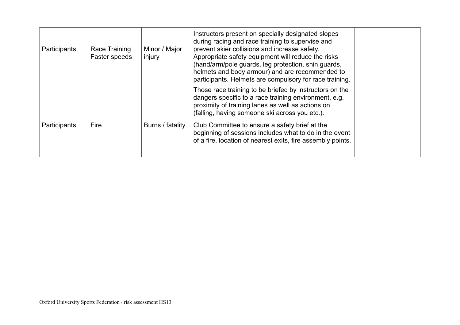| Participants        | Race Training<br>Faster speeds | Minor / Major<br>injury | Instructors present on specially designated slopes<br>during racing and race training to supervise and<br>prevent skier collisions and increase safety.<br>Appropriate safety equipment will reduce the risks<br>(hand/arm/pole guards, leg protection, shin guards,<br>helmets and body armour) and are recommended to<br>participants. Helmets are compulsory for race training. |  |
|---------------------|--------------------------------|-------------------------|------------------------------------------------------------------------------------------------------------------------------------------------------------------------------------------------------------------------------------------------------------------------------------------------------------------------------------------------------------------------------------|--|
|                     |                                |                         | Those race training to be briefed by instructors on the<br>dangers specific to a race training environment, e.g.<br>proximity of training lanes as well as actions on<br>(falling, having someone ski across you etc.).                                                                                                                                                            |  |
| <b>Participants</b> | Fire                           | Burns / fatality        | Club Committee to ensure a safety brief at the<br>beginning of sessions includes what to do in the event<br>of a fire, location of nearest exits, fire assembly points.                                                                                                                                                                                                            |  |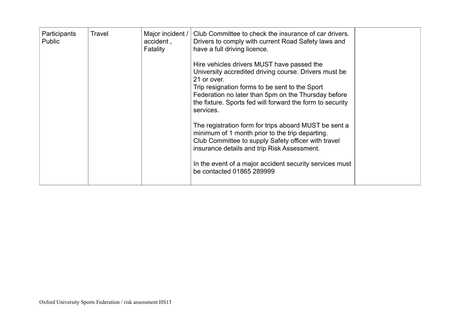| Participants<br><b>Public</b> | Travel | Major incident /<br>accident,<br>Fatality | Club Committee to check the insurance of car drivers.<br>Drivers to comply with current Road Safety laws and<br>have a full driving licence.<br>Hire vehicles drivers MUST have passed the<br>University accredited driving course. Drivers must be<br>21 or over.<br>Trip resignation forms to be sent to the Sport<br>Federation no later than 5pm on the Thursday before<br>the fixture. Sports fed will forward the form to security<br>services.<br>The registration form for trips aboard MUST be sent a<br>minimum of 1 month prior to the trip departing.<br>Club Committee to supply Safety officer with travel |  |
|-------------------------------|--------|-------------------------------------------|--------------------------------------------------------------------------------------------------------------------------------------------------------------------------------------------------------------------------------------------------------------------------------------------------------------------------------------------------------------------------------------------------------------------------------------------------------------------------------------------------------------------------------------------------------------------------------------------------------------------------|--|
|                               |        |                                           | insurance details and trip Risk Assessment.                                                                                                                                                                                                                                                                                                                                                                                                                                                                                                                                                                              |  |
|                               |        |                                           | In the event of a major accident security services must<br>be contacted 01865 289999                                                                                                                                                                                                                                                                                                                                                                                                                                                                                                                                     |  |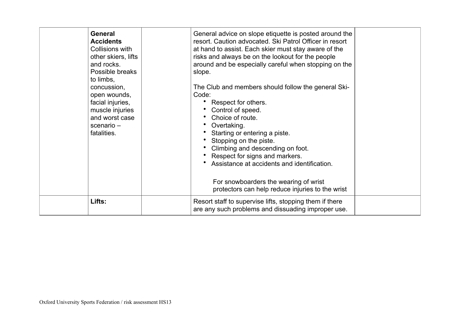| <b>General</b><br><b>Accidents</b><br>Collisions with<br>other skiers, lifts<br>and rocks.<br>Possible breaks<br>to limbs,<br>concussion,<br>open wounds,<br>facial injuries,<br>muscle injuries<br>and worst case<br>$scenario -$<br>fatalities. | General advice on slope etiquette is posted around the<br>resort. Caution advocated. Ski Patrol Officer in resort<br>at hand to assist. Each skier must stay aware of the<br>risks and always be on the lookout for the people<br>around and be especially careful when stopping on the<br>slope.<br>The Club and members should follow the general Ski-<br>Code:<br>Respect for others.<br>Control of speed.<br>Choice of route.<br>Overtaking.<br>Starting or entering a piste.<br>Stopping on the piste.<br>Climbing and descending on foot.<br>Respect for signs and markers.<br>Assistance at accidents and identification.<br>For snowboarders the wearing of wrist<br>protectors can help reduce injuries to the wrist |  |
|---------------------------------------------------------------------------------------------------------------------------------------------------------------------------------------------------------------------------------------------------|-------------------------------------------------------------------------------------------------------------------------------------------------------------------------------------------------------------------------------------------------------------------------------------------------------------------------------------------------------------------------------------------------------------------------------------------------------------------------------------------------------------------------------------------------------------------------------------------------------------------------------------------------------------------------------------------------------------------------------|--|
| Lifts:                                                                                                                                                                                                                                            | Resort staff to supervise lifts, stopping them if there<br>are any such problems and dissuading improper use.                                                                                                                                                                                                                                                                                                                                                                                                                                                                                                                                                                                                                 |  |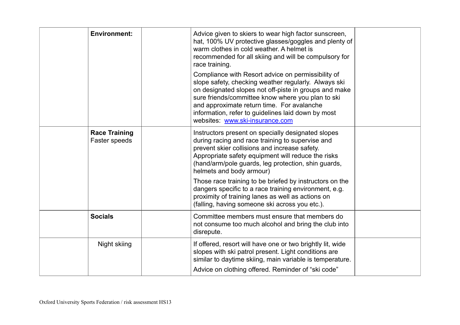| <b>Environment:</b>                   | Advice given to skiers to wear high factor sunscreen,<br>hat, 100% UV protective glasses/goggles and plenty of<br>warm clothes in cold weather. A helmet is<br>recommended for all skiing and will be compulsory for<br>race training.                                                                                                                          |  |
|---------------------------------------|-----------------------------------------------------------------------------------------------------------------------------------------------------------------------------------------------------------------------------------------------------------------------------------------------------------------------------------------------------------------|--|
|                                       | Compliance with Resort advice on permissibility of<br>slope safety, checking weather regularly. Always ski<br>on designated slopes not off-piste in groups and make<br>sure friends/committee know where you plan to ski<br>and approximate return time. For avalanche<br>information, refer to guidelines laid down by most<br>websites: www.ski-insurance.com |  |
| <b>Race Training</b><br>Faster speeds | Instructors present on specially designated slopes<br>during racing and race training to supervise and<br>prevent skier collisions and increase safety.<br>Appropriate safety equipment will reduce the risks<br>(hand/arm/pole guards, leg protection, shin guards,<br>helmets and body armour)                                                                |  |
|                                       | Those race training to be briefed by instructors on the<br>dangers specific to a race training environment, e.g.<br>proximity of training lanes as well as actions on<br>(falling, having someone ski across you etc.).                                                                                                                                         |  |
| <b>Socials</b>                        | Committee members must ensure that members do<br>not consume too much alcohol and bring the club into<br>disrepute.                                                                                                                                                                                                                                             |  |
| Night skiing                          | If offered, resort will have one or two brightly lit, wide<br>slopes with ski patrol present. Light conditions are<br>similar to daytime skiing, main variable is temperature.<br>Advice on clothing offered. Reminder of "ski code"                                                                                                                            |  |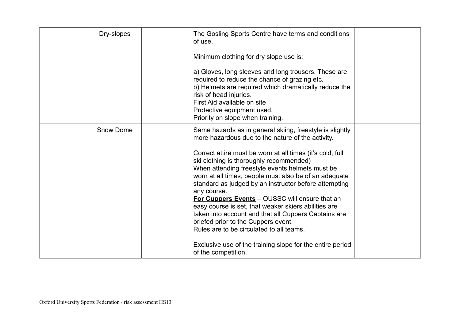| Dry-slopes       | The Gosling Sports Centre have terms and conditions<br>of use.<br>Minimum clothing for dry slope use is:<br>a) Gloves, long sleeves and long trousers. These are<br>required to reduce the chance of grazing etc.<br>b) Helmets are required which dramatically reduce the<br>risk of head injuries.<br>First Aid available on site<br>Protective equipment used.<br>Priority on slope when training.                                                                                                                                                                                                                                                                                                                                              |  |
|------------------|----------------------------------------------------------------------------------------------------------------------------------------------------------------------------------------------------------------------------------------------------------------------------------------------------------------------------------------------------------------------------------------------------------------------------------------------------------------------------------------------------------------------------------------------------------------------------------------------------------------------------------------------------------------------------------------------------------------------------------------------------|--|
| <b>Snow Dome</b> | Same hazards as in general skiing, freestyle is slightly<br>more hazardous due to the nature of the activity.<br>Correct attire must be worn at all times (it's cold, full<br>ski clothing is thoroughly recommended)<br>When attending freestyle events helmets must be<br>worn at all times, people must also be of an adequate<br>standard as judged by an instructor before attempting<br>any course.<br>For Cuppers Events - OUSSC will ensure that an<br>easy course is set, that weaker skiers abilities are<br>taken into account and that all Cuppers Captains are<br>briefed prior to the Cuppers event.<br>Rules are to be circulated to all teams.<br>Exclusive use of the training slope for the entire period<br>of the competition. |  |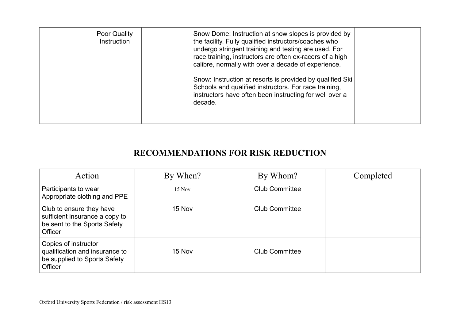| Poor Quality<br>Instruction | Snow Dome: Instruction at snow slopes is provided by<br>the facility. Fully qualified instructors/coaches who<br>undergo stringent training and testing are used. For<br>race training, instructors are often ex-racers of a high<br>calibre, normally with over a decade of experience.<br>Snow: Instruction at resorts is provided by qualified Ski<br>Schools and qualified instructors. For race training,<br>instructors have often been instructing for well over a<br>decade. |  |
|-----------------------------|--------------------------------------------------------------------------------------------------------------------------------------------------------------------------------------------------------------------------------------------------------------------------------------------------------------------------------------------------------------------------------------------------------------------------------------------------------------------------------------|--|
|                             |                                                                                                                                                                                                                                                                                                                                                                                                                                                                                      |  |

## **RECOMMENDATIONS FOR RISK REDUCTION**

| Action                                                                                                | By When? | By Whom?              | Completed |
|-------------------------------------------------------------------------------------------------------|----------|-----------------------|-----------|
| Participants to wear<br>Appropriate clothing and PPE                                                  | $15$ Nov | <b>Club Committee</b> |           |
| Club to ensure they have<br>sufficient insurance a copy to<br>be sent to the Sports Safety<br>Officer | 15 Nov   | <b>Club Committee</b> |           |
| Copies of instructor<br>qualification and insurance to<br>be supplied to Sports Safety<br>Officer     | 15 Nov   | <b>Club Committee</b> |           |